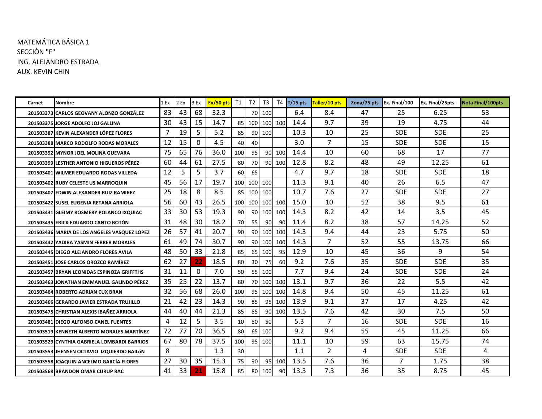## MATEMÁTICA BÁSICA 1 SECCIÒN "F" ING. ALEJANDRO ESTRADA AUX. KEVIN CHIN

| Carnet | Nombre                                            | 1 Ex | 2 Ex | 3 Ex     | Ex/50 pts | T1              | T2              | T3              |         | $T4$ T/15 pts | Taller/10 pts  | Zona/75 pts Ex. Final/100 |                | Ex. Final/25pts | <b>Nota Final/100pts</b> |
|--------|---------------------------------------------------|------|------|----------|-----------|-----------------|-----------------|-----------------|---------|---------------|----------------|---------------------------|----------------|-----------------|--------------------------|
|        | 201503373 CARLOS GEOVANY ALONZO GONZÁLEZ          | 83   | 43   | 68       | 32.3      |                 |                 | 70 100          |         | 6.4           | 8.4            | 47                        | 25             | 6.25            | 53                       |
|        | <b>201503375 JORGE ADOLFO JOJ GALLINA</b>         | 30   | 43   | 15       | 14.7      | 85              | 100 100 100     |                 |         | 14.4          | 9.7            | 39                        | 19             | 4.75            | 44                       |
|        | 201503387 KEVIN ALEXANDER LÓPEZ FLORES            | 7    | 19   | 5        | 5.2       | 85              |                 | 90 100          |         | 10.3          | 10             | 25                        | <b>SDE</b>     | <b>SDE</b>      | 25                       |
|        | 201503388 MARCO RODOLFO RODAS MORALES             | 12   | 15   | $\Omega$ | 4.5       | 40              | 40              |                 |         | 3.0           | $\overline{7}$ | 15                        | <b>SDE</b>     | <b>SDE</b>      | 15                       |
|        | 201503392 MYNOR JOEL MOLINA GUEVARA               | 75   | 65   | 76       | 36.0      | 100             | 95              |                 | 90 100  | 14.4          | 10             | 60                        | 68             | 17              | 77                       |
|        | <b>201503399 LESTHER ANTONIO HIGUEROS PÉREZ</b>   | 60   | 44   | 61       | 27.5      | 80              | 70I             |                 | 90 100  | 12.8          | 8.2            | 48                        | 49             | 12.25           | 61                       |
|        | 201503401 WILMER EDUARDO RODAS VILLEDA            | 12   | 5    | 5        | 3.7       | 60              | 65              |                 |         | 4.7           | 9.7            | 18                        | <b>SDE</b>     | <b>SDE</b>      | 18                       |
|        | 201503402 RUBY CELESTE US MARROQUIN               | 45   | 56   | 17       | 19.7      | 100             | 100 100         |                 |         | 11.3          | 9.1            | 40                        | 26             | 6.5             | 47                       |
|        | 201503407 EDWIN ALEXANDER RUIZ RAMIREZ            | 25   | 18   | 8        | 8.5       |                 | 85 100 100      |                 |         | 10.7          | 7.6            | 27                        | <b>SDE</b>     | <b>SDE</b>      | 27                       |
|        | 201503422 SUSEL EUGENIA RETANA ARRIOLA            | 56   | 60   | 43       | 26.5      | 100             | 100 100 100     |                 |         | 15.0          | 10             | 52                        | 38             | 9.5             | 61                       |
|        | 201503431 GLEIMY ROSMERY POLANCO IXQUIAC          | 33   | 30   | 53       | 19.3      | 90              | 90I             |                 | 100 100 | 14.3          | 8.2            | 42                        | 14             | 3.5             | 45                       |
|        | <b>201503435 ERICK EDUARDO CANTO BOTÓN</b>        | 31   | 48   | 30       | 18.2      | 70              | 55 <sub>1</sub> | 90 <sup>1</sup> | 90      | 11.4          | 8.2            | 38                        | 57             | 14.25           | 52                       |
|        | 201503436 MARIA DE LOS ANGELES VASQUEZ LOPEZ      | 26   | 57   | 41       | 20.7      | 90              | 90I             |                 | 100 100 | 14.3          | 9.4            | 44                        | 23             | 5.75            | 50                       |
|        | 201503442 YADIRA YASMIN FERRER MORALES            | 61   | 49   | 74       | 30.7      | 90 <sup>1</sup> | 90 <sup>1</sup> |                 | 100 100 | 14.3          | $\overline{7}$ | 52                        | 55             | 13.75           | 66                       |
|        | 201503445 DIEGO ALEJANDRO FLORES AVILA            | 48   | 50   | 33       | 21.8      | 85              |                 | 65 100          | 95      | 12.9          | 10             | 45                        | 36             | 9               | 54                       |
|        | 201503451 JOSE CARLOS OROZCO RAMÍREZ              | 62   | 27   | 22       | 18.5      | 80              | 30 <sup>l</sup> | <b>75</b>       | 60      | 9.2           | 7.6            | 35                        | <b>SDE</b>     | <b>SDE</b>      | 35                       |
|        | 201503457 BRYAN LEONIDAS ESPINOZA GRIFFTHS        | 31   | 11   | 0        | 7.0       | 50I             |                 | 55 100          |         | 7.7           | 9.4            | 24                        | <b>SDE</b>     | <b>SDE</b>      | 24                       |
|        | 201503463 JONATHAN EMMANUEL GALINDO PÉREZ         | 35   | 25   | 22       | 13.7      | 80              |                 | 70 100 100      |         | 13.1          | 9.7            | 36                        | 22             | 5.5             | 42                       |
|        | 201503464 ROBERTO ADRIAN CUX BRAN                 | 32   | 56   | 68       | 26.0      | 100             | 95 <sub>l</sub> |                 | 100 100 | 14.8          | 9.4            | 50                        | 45             | 11.25           | 61                       |
|        | 201503466 GERARDO JAVIER ESTRADA TRUJILLO         | 21   | 42   | 23       | 14.3      | 90              | 85              |                 | 95 100  | 13.9          | 9.1            | 37                        | 17             | 4.25            | 42                       |
|        | 201503475 CHRISTIAN ALEXIS IBAÑEZ ARRIOLA         | 44   | 40   | 44       | 21.3      | 85              | 85              |                 | 90 100  | 13.5          | 7.6            | 42                        | 30             | 7.5             | 50                       |
|        | <b>201503481 DIEGO ALFONSO CANEL FUENTES</b>      | 4    | 12   | 5        | 3.5       | 10 <sup>1</sup> | 80              | 50              |         | 5.3           | 7              | 16                        | <b>SDE</b>     | <b>SDE</b>      | 16                       |
|        | <b>201503519 KENNETH ALBERTO MORALES MARTÍNEZ</b> | 72   | 77   | 70       | 36.5      | 80              |                 | 65 100          |         | 9.2           | 9.4            | 55                        | 45             | 11.25           | 66                       |
|        | 201503529 CYNTHIA GABRIELA LOMBARDI BARRIOS       | 67   | 80   | 78       | 37.5      | 100             | 95 <sub>l</sub> | 100             |         | 11.1          | 10             | 59                        | 63             | 15.75           | 74                       |
|        | 201503553 JHENSEN OCTAVIO IZQUIERDO BAILÓN        | 8    |      |          | 1.3       | 30              |                 |                 |         | 1.1           | 2              | 4                         | <b>SDE</b>     | <b>SDE</b>      | 4                        |
|        | 201503558 JOAQUIN ANCELMO GARCÍA FLORES           | 27   | 30   | 35       | 15.3      | 75 <sub>l</sub> | 90I             |                 | 95 100  | 13.5          | 7.6            | 36                        | $\overline{7}$ | 1.75            | 38                       |
|        | 201503568 BRANDON OMAR CURUP RAC                  | 41   | 33   | 21       | 15.8      | 85              |                 | 80 100          | 90      | 13.3          | 7.3            | 36                        | 35             | 8.75            | 45                       |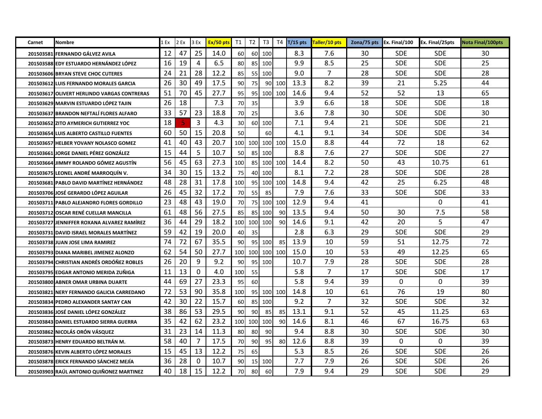| Carnet | Nombre                                           | 1 Ex | 2 Ex | 3 Ex | Ex/50 pts | T1              | $T2$            | T3              |     |      | $T4$ $T/15$ pts $Taller/10$ pts | Zona/75 pts Ex. Final/100 |            | Ex. Final/25pts | <b>Nota Final/100pts</b> |
|--------|--------------------------------------------------|------|------|------|-----------|-----------------|-----------------|-----------------|-----|------|---------------------------------|---------------------------|------------|-----------------|--------------------------|
|        | 201503581 FERNANDO GÁLVEZ AVILA                  | 12   | 47   | 25   | 14.0      | 60              |                 | 60 100          |     | 8.3  | 7.6                             | 30                        | <b>SDE</b> | <b>SDE</b>      | 30                       |
|        | 201503588 EDY ESTUARDO HERNÁNDEZ LÓPEZ           | 16   | 19   | 4    | 6.5       | 80              |                 | 85 100          |     | 9.9  | 8.5                             | 25                        | <b>SDE</b> | <b>SDE</b>      | 25                       |
|        | 201503606 BRYAN STEVE CHOC CUTERES               | 24   | 21   | 28   | 12.2      | 85              |                 | 55 100          |     | 9.0  | 7                               | 28                        | <b>SDE</b> | <b>SDE</b>      | 28                       |
|        | 201503612 LUIS FERNANDO MORALES GARCIA           | 26   | 30   | 49   | 17.5      | 90 <sub>0</sub> | 75              | 90              | 100 | 13.3 | 8.2                             | 39                        | 21         | 5.25            | 44                       |
|        | 201503617 OLIVERT HERLINDO VARGAS CONTRERAS      | 51   | 70   | 45   | 27.7      | 95              |                 | 95 100 100      |     | 14.6 | 9.4                             | 52                        | 52         | 13              | 65                       |
|        | 201503629 MARVIN ESTUARDO LÓPEZ TAJIN            | 26   | 18   |      | 7.3       | 70              | 35              |                 |     | 3.9  | 6.6                             | 18                        | <b>SDE</b> | <b>SDE</b>      | 18                       |
|        | 201503637 BRANDON NEFTALÍ FLORES ALFARO          | 33   | 57   | 23   | 18.8      | 70              | 25              |                 |     | 3.6  | 7.8                             | 30                        | <b>SDE</b> | <b>SDE</b>      | 30                       |
|        | 201503652 ZITO AYMERICH GUTIERREZ YOC            | 18   | 5    | 3    | 4.3       | 30 <sup>1</sup> |                 | 60 100          |     | 7.1  | 9.4                             | 21                        | <b>SDE</b> | <b>SDE</b>      | 21                       |
|        | 201503654 LUIS ALBERTO CASTILLO FUENTES          | 60   | 50   | 15   | 20.8      | 50              |                 | 60              |     | 4.1  | 9.1                             | 34                        | <b>SDE</b> | <b>SDE</b>      | 34                       |
|        | 201503657 HELBER YOVANY NOLASCO GOMEZ            | 41   | 40   | 43   | 20.7      |                 |                 | 100 100 100 100 |     | 15.0 | 8.8                             | 44                        | 72         | 18              | 62                       |
|        | 201503661 JORGE DANIEL PÉREZ GONZÁLEZ            | 15   | 44   | 5    | 10.7      | 50              |                 | 85 100          |     | 8.8  | 7.6                             | 27                        | <b>SDE</b> | <b>SDE</b>      | 27                       |
|        | 201503664 JIMMY ROLANDO GÓMEZ AGUSTÍN            | 56   | 45   | 63   | 27.3      | 100             |                 | 85 100 100      |     | 14.4 | 8.2                             | 50                        | 43         | 10.75           | 61                       |
|        | 201503675 LEONEL ANDRÉ MARROQUÍN V.              | 34   | 30   | 15   | 13.2      | 75              |                 | 40 100          |     | 8.1  | 7.2                             | 28                        | <b>SDE</b> | <b>SDE</b>      | 28                       |
|        | 201503681 PABLO DAVID MARTÍNEZ HERNÁNDEZ         | 48   | 28   | 31   | 17.8      | 100             |                 | 95 100          | 100 | 14.8 | 9.4                             | 42                        | 25         | 6.25            | 48                       |
|        | 201503706 JOSÉ GERARDO LÓPEZ AGUILAR             | 26   | 45   | 32   | 17.2      | 70              | 55              | 85              |     | 7.9  | 7.6                             | 33                        | <b>SDE</b> | <b>SDE</b>      | 33                       |
|        | 201503711 PABLO ALEJANDRO FLORES GORDILLO        | 23   | 48   | 43   | 19.0      | 70              |                 | 75 100          | 100 | 12.9 | 9.4                             | 41                        |            | 0               | 41                       |
|        | 201503712 OSCAR RENÉ CUELLAR MANCILLA            | 61   | 48   | 56   | 27.5      | 85              |                 | 85 100          | 90  | 13.5 | 9.4                             | 50                        | 30         | 7.5             | 58                       |
|        | 201503727 JENNIFFER ROXANA ALVAREZ RAMÍREZ       | 36   | 44   | 29   | 18.2      |                 |                 | 100 100 100     | 90  | 14.6 | 9.1                             | 42                        | 20         | 5               | 47                       |
|        | 201503731 DAVID ISRAEL MORALES MARTINEZ          | 59   | 42   | 19   | 20.0      | 40              | 35 <sup>1</sup> |                 |     | 2.8  | 6.3                             | 29                        | <b>SDE</b> | <b>SDE</b>      | 29                       |
|        | 201503738 JUAN JOSE LIMA RAMIREZ                 | 74   | 72   | 67   | 35.5      | 90              |                 | 95 100          | 85  | 13.9 | 10                              | 59                        | 51         | 12.75           | 72                       |
|        | 201503793 DIANA MARIBEL JIMENEZ ALONZO           | 62   | 54   | 50   | 27.7      | 100             |                 | 100 100 100     |     | 15.0 | 10                              | 53                        | 49         | 12.25           | 65                       |
|        | <b>201503794 CHRISTIAN ANDRÉS ORDÓÑEZ ROBLES</b> | 26   | 20   | 9    | 9.2       | 90              |                 | 95 100          |     | 10.7 | 7.9                             | 28                        | <b>SDE</b> | <b>SDE</b>      | 28                       |
|        | 201503795 EDGAR ANTONIO MERIDA ZUÑIGA            | 11   | 13   | 0    | 4.0       | 100             | 55              |                 |     | 5.8  | 7                               | 17                        | <b>SDE</b> | <b>SDE</b>      | 17                       |
|        | 201503800 ABNER OMAR URBINA DUARTE               | 44   | 69   | 27   | 23.3      | 95              | 60              |                 |     | 5.8  | 9.4                             | 39                        | 0          | 0               | 39                       |
|        | 201503821 NERY FERNANDO GALICIA CARREDANO        | 72   | 53   | 90   | 35.8      | 100             |                 | 95 100          | 100 | 14.8 | 10                              | 61                        | 76         | 19              | 80                       |
|        | 201503834 PEDRO ALEXANDER SANTAY CAN             | 42   | 30   | 22   | 15.7      | 60              |                 | 85 100          |     | 9.2  | 7                               | 32                        | <b>SDE</b> | <b>SDE</b>      | 32                       |
|        | 201503836 JOSÉ DANIEL LÓPEZ GONZÁLEZ             | 38   | 86   | 53   | 29.5      | 90 <sub>l</sub> | 90              | 85              | 85  | 13.1 | 9.1                             | 52                        | 45         | 11.25           | 63                       |
|        | 201503843 DANIEL ESTUARDO SIERRA GUERRA          | 35   | 42   | 62   | 23.2      |                 |                 | 100 100 100     | 90  | 14.6 | 8.1                             | 46                        | 67         | 16.75           | 63                       |
|        | 201503862 NICOLÁS ORÓN VÁSQUEZ                   | 31   | 23   | 14   | 11.3      | 80              | 80              | 90              |     | 9.4  | 8.8                             | 30                        | <b>SDE</b> | <b>SDE</b>      | 30                       |
|        | 201503873 HENRY EDUARDO BELTRAN M.               | 58   | 40   | 7    | 17.5      | 70              | 90              | 95              | 80  | 12.6 | 8.8                             | 39                        | $\Omega$   | 0               | 39                       |
|        | 201503876 KEVIN ALBERTO LÓPEZ MORALES            | 15   | 45   | 13   | 12.2      | 75              | 65              |                 |     | 5.3  | 8.5                             | 26                        | <b>SDE</b> | <b>SDE</b>      | 26                       |
|        | 201503878 ERICK FERNANDO SÁNCHEZ MEJÍA           | 36   | 28   | 0    | 10.7      | 90 <sub>0</sub> |                 | 15 100          |     | 7.7  | 7.9                             | 26                        | <b>SDE</b> | <b>SDE</b>      | 26                       |
|        | 201503903 RAÚL ANTONIO QUIÑONEZ MARTINEZ         | 40   | 18   | 15   | 12.2      | 70              | 80              | 60              |     | 7.9  | 9.4                             | 29                        | <b>SDE</b> | <b>SDE</b>      | 29                       |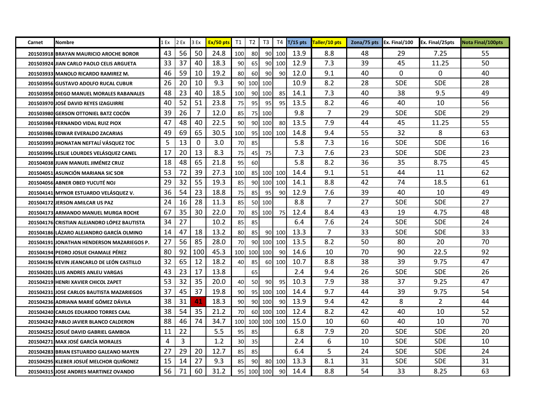| Carnet | Nombre                                      | 1 Ex | 2 Ex | 3 Ex | Ex/50 pts | <b>T1</b>       | T <sub>2</sub>  | T <sub>3</sub>  |        | $T4$ T/15 pts | Taller/10 pts | Zona/75 pts Ex. Final/100 |            | Ex. Final/25pts | <b>Nota Final/100pts</b> |
|--------|---------------------------------------------|------|------|------|-----------|-----------------|-----------------|-----------------|--------|---------------|---------------|---------------------------|------------|-----------------|--------------------------|
|        | 201503918 BRAYAN MAURICIO AROCHE BOROR      | 43   | 56   | 50   | 24.8      | 100             | 80              |                 | 90 100 | 13.9          | 8.8           | 48                        | 29         | 7.25            | 55                       |
|        | 201503924 JIAN CARLO PAOLO CELIS ARGUETA    | 33   | 37   | 40   | 18.3      | 90              | 65              |                 | 90 100 | 12.9          | 7.3           | 39                        | 45         | 11.25           | 50                       |
|        | 201503933 MANOLO RICARDO RAMIREZ M.         | 46   | 59   | 10   | 19.2      | 80              | 60              | 90              | 90     | 12.0          | 9.1           | 40                        | 0          | 0               | 40                       |
|        | 201503956 GUSTAVO ADOLFO RUCAL CUBUR        | 26   | 20   | 10   | 9.3       | 90              |                 | 100 100         |        | 10.9          | 8.2           | 28                        | SDE        | <b>SDE</b>      | 28                       |
|        | 201503958 DIEGO MANUEL MORALES RABANALES    | 48   | 23   | 40   | 18.5      | 100             | 90I             | 100             | 85     | 14.1          | 7.3           | 40                        | 38         | 9.5             | 49                       |
|        | 201503970 JOSÉ DAVID REYES IZAGUIRRE        | 40   | 52   | 51   | 23.8      | 75              | 95              | -95             | 95     | 13.5          | 8.2           | 46                        | 40         | 10              | 56                       |
|        | 201503980 GERSON OTTONIEL BATZ COCÓN        | 39   | 26   | 7    | 12.0      | 85              |                 | 75 100          |        | 9.8           | 7             | 29                        | <b>SDE</b> | <b>SDE</b>      | 29                       |
|        | 201503984 FERNANDO VIDAL RUIZ PIOX          | 47   | 48   | 40   | 22.5      | 90              |                 | 90 100          | 80     | 13.5          | 7.9           | 44                        | 45         | 11.25           | 55                       |
|        | 201503986 EDWAR EVERALDO ZACARIAS           | 49   | 69   | 65   | 30.5      | 100             |                 | 95 100          | 100    | 14.8          | 9.4           | 55                        | 32         | 8               | 63                       |
|        | 201503993 JHONATAN NEFTALÍ VÁSQUEZ TOC      | 5    | 13   | 0    | 3.0       | 70              | 85              |                 |        | 5.8           | 7.3           | 16                        | SDE        | <b>SDE</b>      | 16                       |
|        | 201503996 LESLIE LOURDES VELÁSQUEZ CANEL    | 17   | 20   | 13   | 8.3       | 75              | 45              | 75              |        | 7.3           | 7.6           | 23                        | <b>SDE</b> | <b>SDE</b>      | 23                       |
|        | 201504038 JUAN MANUEL JIMÉNEZ CRUZ          | 18   | 48   | 65   | 21.8      | 95              | 60              |                 |        | 5.8           | 8.2           | 36                        | 35         | 8.75            | 45                       |
|        | 201504051 ASUNCIÓN MARIANA SIC SOR          | 53   | 72   | 39   | 27.3      | 100             |                 | 85 100          | 100    | 14.4          | 9.1           | 51                        | 44         | 11              | 62                       |
|        | 201504056 ABNER OBED YUCUTÉ NOJ             | 29   | 32   | 55   | 19.3      | 85              | 90 <sup>1</sup> | 100             | 100    | 14.1          | 8.8           | 42                        | 74         | 18.5            | 61                       |
|        | 201504141 MYNOR ESTUARDO VELÁSQUEZ V.       | 36   | 54   | 23   | 18.8      | 75              | 85              | 95              | 90     | 12.9          | 7.6           | 39                        | 40         | 10              | 49                       |
|        | 201504172 JERSON AMILCAR US PAZ             | 24   | 16   | 28   | 11.3      | 85              |                 | 50 100          |        | 8.8           | 7             | 27                        | SDE        | <b>SDE</b>      | 27                       |
|        | 201504173 ARMANDO MANUEL MURGA ROCHE        | 67   | 35   | 30   | 22.0      | 70              |                 | 85 100          | 75     | 12.4          | 8.4           | 43                        | 19         | 4.75            | 48                       |
|        | 201504176 CRISTIAN ALEJANDRO LÓPEZ BAUTISTA | 34   | 27   |      | 10.2      | 85              | 85              |                 |        | 6.4           | 7.6           | 24                        | SDE.       | SDE.            | 24                       |
|        | 201504186 LÁZARO ALEJANDRO GARCÍA OLMINO    | 14   | 47   | 18   | 13.2      | 80              | 85              | 90              | 100    | 13.3          | 7             | 33                        | <b>SDE</b> | <b>SDE</b>      | 33                       |
|        | 201504191 JONATHAN HENDERSON MAZARIEGOS P.  | 27   | 56   | 85   | 28.0      | 70              |                 | 90 100          | 100    | 13.5          | 8.2           | 50                        | 80         | 20              | 70                       |
|        | 201504194 PEDRO JOSUE CHAMALE PÉREZ         | 80   | 92   | 100  | 45.3      | 100             | 100             | 100             | 90     | 14.6          | 10            | 70                        | 90         | 22.5            | 92                       |
|        | 201504196 KEVIN JEANCARLO DE LEÓN CASTILLO  | 32   | 65   | 12   | 18.2      | 40              | 85              | 60I             | 100    | 10.7          | 8.8           | 38                        | 39         | 9.75            | 47                       |
|        | 201504201 LUIS ANDRES ANLEU VARGAS          | 43   | 23   | 17   | 13.8      |                 | 65              |                 |        | 2.4           | 9.4           | 26                        | <b>SDE</b> | <b>SDE</b>      | 26                       |
|        | 201504219 HENRI XAVIER CHICOL ZAPET         | 53   | 32   | 35   | 20.0      | 40              | 50              | 90              | 95     | 10.3          | 7.9           | 38                        | 37         | 9.25            | 47                       |
|        | 201504231 JOSE CARLOS BAUTISTA MAZARIEGOS   | 37   | 45   | 37   | 19.8      | 90              | 95 I            | 100             | 100    | 14.4          | 9.7           | 44                        | 39         | 9.75            | 54                       |
|        | 201504236 ADRIANA MARIÉ GÓMEZ DÁVILA        | 38   | 31   | 41   | 18.3      | 90 <sup>1</sup> |                 | 90 100          | 90     | 13.9          | 9.4           | 42                        | 8          | $\overline{2}$  | 44                       |
|        | 201504240 CARLOS EDUARDO TORRES CAAL        | 38   | 54   | 35   | 21.2      | 70              |                 | 60 100          | 100    | 12.4          | 8.2           | 42                        | 40         | 10              | 52                       |
|        | 201504242 PABLO JAVIER BLANCO CALDERON      | 88   | 46   | 74   | 34.7      |                 |                 | 100 100 100 100 |        | 15.0          | 10            | 60                        | 40         | 10              | 70                       |
|        | 201504252 JOSUÉ DAVID GABRIEL GAMBOA        | 11   | 22   |      | 5.5       | 95              | 85              |                 |        | 6.8           | 7.9           | 20                        | <b>SDE</b> | <b>SDE</b>      | 20                       |
|        | 201504271 MAX JOSÉ GARCÍA MORALES           | 4    | 3    |      | 1.2       | 30              | 35 <sub>l</sub> |                 |        | 2.4           | 6             | 10                        | <b>SDE</b> | <b>SDE</b>      | 10                       |
|        | 201504283 BRIAN ESTUARDO GALEANO MAYEN      | 27   | 29   | 20   | 12.7      | 85              | 85              |                 |        | 6.4           | 5             | 24                        | <b>SDE</b> | <b>SDE</b>      | 24                       |
|        | 201504295 KLEBER JOSUÉ MELCHOR QUIÑONEZ     | 15   | 14   | 27   | 9.3       | 85              | 90              | 80              | 100    | 13.3          | 8.1           | 31                        | SDE        | <b>SDE</b>      | 31                       |
|        | 201504315 JOSE ANDRES MARTINEZ OVANDO       | 56   | 71   | 60   | 31.2      | 95              |                 | 100 100         | 90     | 14.4          | 8.8           | 54                        | 33         | 8.25            | 63                       |